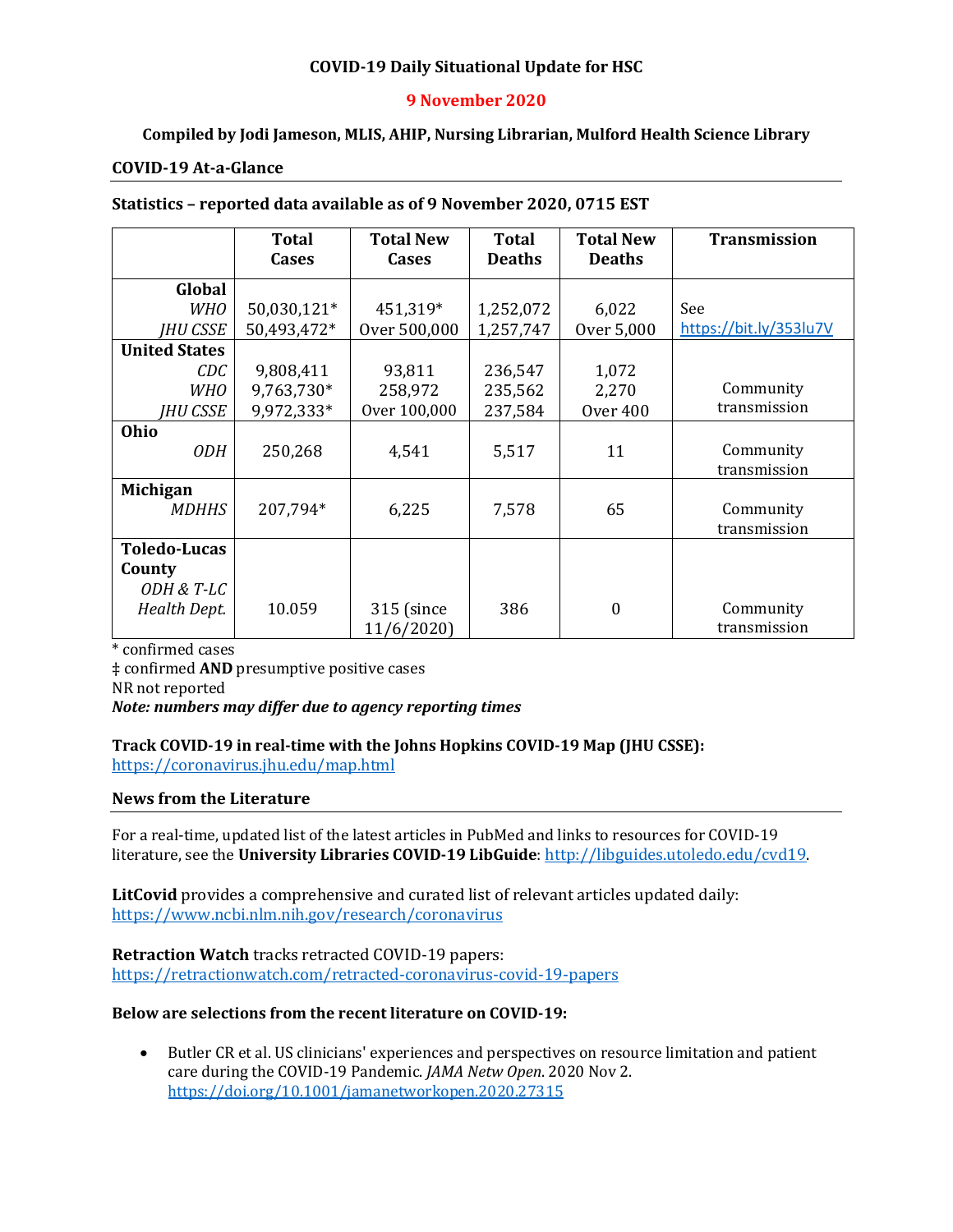### **COVID-19 Daily Situational Update for HSC**

### **9 November 2020**

## **Compiled by Jodi Jameson, MLIS, AHIP, Nursing Librarian, Mulford Health Science Library**

#### **COVID-19 At-a-Glance**

#### **Statistics – reported data available as of 9 November 2020, 0715 EST**

|                      | <b>Total</b> | <b>Total New</b> | <b>Total</b>  | <b>Total New</b> | <b>Transmission</b>    |
|----------------------|--------------|------------------|---------------|------------------|------------------------|
|                      | Cases        | <b>Cases</b>     | <b>Deaths</b> | <b>Deaths</b>    |                        |
| Global               |              |                  |               |                  |                        |
| <b>WHO</b>           | 50,030,121*  | 451,319*         | 1,252,072     | 6,022            | See                    |
| <b>IHU CSSE</b>      | 50,493,472*  | Over 500,000     | 1,257,747     | Over 5,000       | https://bit.ly/353lu7V |
| <b>United States</b> |              |                  |               |                  |                        |
| CDC                  | 9,808,411    | 93,811           | 236,547       | 1,072            |                        |
| <b>WHO</b>           | 9,763,730*   | 258,972          | 235,562       | 2,270            | Community              |
| IHU CSSE             | 9,972,333*   | Over 100,000     | 237,584       | Over 400         | transmission           |
| Ohio                 |              |                  |               |                  |                        |
| <b>ODH</b>           | 250,268      | 4,541            | 5,517         | 11               | Community              |
|                      |              |                  |               |                  | transmission           |
| <b>Michigan</b>      |              |                  |               |                  |                        |
| <b>MDHHS</b>         | 207,794*     | 6,225            | 7,578         | 65               | Community              |
|                      |              |                  |               |                  | transmission           |
| <b>Toledo-Lucas</b>  |              |                  |               |                  |                        |
| County               |              |                  |               |                  |                        |
| ODH & T-LC           |              |                  |               |                  |                        |
| Health Dept.         | 10.059       | 315 (since       | 386           | $\theta$         | Community              |
|                      |              | 11/6/2020)       |               |                  | transmission           |

\* confirmed cases

‡ confirmed **AND** presumptive positive cases

NR not reported

#### *Note: numbers may differ due to agency reporting times*

### **Track COVID-19 in real-time with the Johns Hopkins COVID-19 Map (JHU CSSE):** <https://coronavirus.jhu.edu/map.html>

#### **News from the Literature**

For a real-time, updated list of the latest articles in PubMed and links to resources for COVID-19 literature, see the **University Libraries COVID-19 LibGuide**[: http://libguides.utoledo.edu/cvd19.](http://libguides.utoledo.edu/cvd19) 

**LitCovid** provides a comprehensive and curated list of relevant articles updated daily: <https://www.ncbi.nlm.nih.gov/research/coronavirus>

**Retraction Watch** tracks retracted COVID-19 papers: [https://retractionwatch.com/retracted-coronavirus-covid-19-papers](https://retractionwatch.com/retracted-coronavirus-covid-19-papers/)

#### **Below are selections from the recent literature on COVID-19:**

• Butler CR et al. US clinicians' experiences and perspectives on resource limitation and patient care during the COVID-19 Pandemic. *JAMA Netw Open*. 2020 Nov 2. <https://doi.org/10.1001/jamanetworkopen.2020.27315>